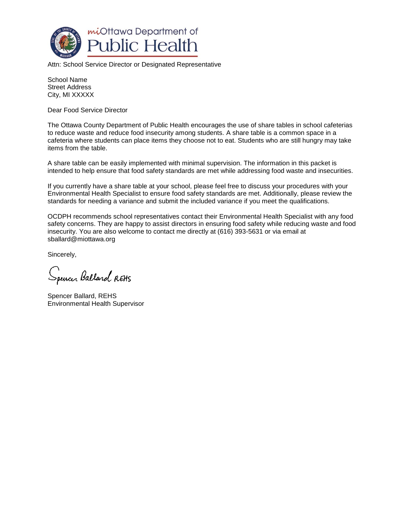

Attn: School Service Director or Designated Representative

School Name Street Address City, MI XXXXX

Dear Food Service Director

The Ottawa County Department of Public Health encourages the use of share tables in school cafeterias to reduce waste and reduce food insecurity among students. A share table is a common space in a cafeteria where students can place items they choose not to eat. Students who are still hungry may take items from the table.

A share table can be easily implemented with minimal supervision. The information in this packet is intended to help ensure that food safety standards are met while addressing food waste and insecurities.

If you currently have a share table at your school, please feel free to discuss your procedures with your Environmental Health Specialist to ensure food safety standards are met. Additionally, please review the standards for needing a variance and submit the included variance if you meet the qualifications.

OCDPH recommends school representatives contact their Environmental Health Specialist with any food safety concerns. They are happy to assist directors in ensuring food safety while reducing waste and food insecurity. You are also welcome to contact me directly at (616) 393-5631 or via email at sballard@miottawa.org

Sincerely,

Spencer Balland REHS

Spencer Ballard, REHS Environmental Health Supervisor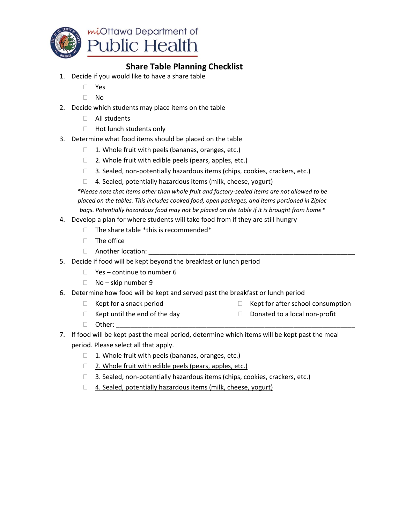

### **Share Table Planning Checklist**

- 1. Decide if you would like to have a share table
	- Yes
	- $\neg$  No
- 2. Decide which students may place items on the table
	- All students
	- $\Box$  Hot lunch students only
- 3. Determine what food items should be placed on the table
	- $\Box$  1. Whole fruit with peels (bananas, oranges, etc.)
	- $\Box$  2. Whole fruit with edible peels (pears, apples, etc.)
	- $\Box$  3. Sealed, non-potentially hazardous items (chips, cookies, crackers, etc.)
	- $\Box$  4. Sealed, potentially hazardous items (milk, cheese, yogurt)

*\*Please note that items other than whole fruit and factory-sealed items are not allowed to be placed on the tables. This includes cooked food, open packages, and items portioned in Ziploc bags. Potentially hazardous food may not be placed on the table if it is brought from home\**

- 4. Develop a plan for where students will take food from if they are still hungry
	- $\Box$  The share table \*this is recommended\*
	- $\Box$  The office
	- $\Box$  Another location:
- 5. Decide if food will be kept beyond the breakfast or lunch period
	- $\Box$  Yes continue to number 6
	- $\Box$  No skip number 9
- 6. Determine how food will be kept and served past the breakfast or lunch period
	- $\Box$  Kept for a snack period
- $\Box$  Kept for after school consumption
- $\Box$  Kept until the end of the day
- $\Box$  Donated to a local non-profit

 $\Box$  Other:

- 
- 7. If food will be kept past the meal period, determine which items will be kept past the meal period. Please select all that apply.
	- $\Box$  1. Whole fruit with peels (bananas, oranges, etc.)
	- $\Box$  2. Whole fruit with edible peels (pears, apples, etc.)
	- □ 3. Sealed, non-potentially hazardous items (chips, cookies, crackers, etc.)
	- $\Box$  4. Sealed, potentially hazardous items (milk, cheese, yogurt)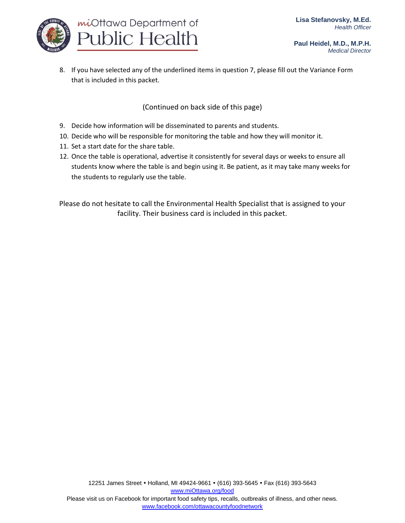

8. If you have selected any of the underlined items in question 7, please fill out the Variance Form that is included in this packet.

(Continued on back side of this page)

- 9. Decide how information will be disseminated to parents and students.
- 10. Decide who will be responsible for monitoring the table and how they will monitor it.
- 11. Set a start date for the share table.
- 12. Once the table is operational, advertise it consistently for several days or weeks to ensure all students know where the table is and begin using it. Be patient, as it may take many weeks for the students to regularly use the table.

Please do not hesitate to call the Environmental Health Specialist that is assigned to your facility. Their business card is included in this packet.

[www.facebook.com/ottawacountyfoodnetwork](http://www.facebook.com/ottawacountyfoodnetwork)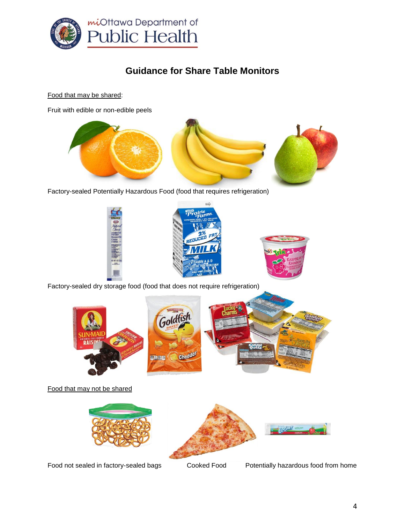

# **Guidance for Share Table Monitors**

Food that may be shared:

Fruit with edible or non-edible peels



Factory-sealed Potentially Hazardous Food (food that requires refrigeration)



Factory-sealed dry storage food (food that does not require refrigeration)



Food that may not be shared





Food not sealed in factory-sealed bags Cooked Food Potentially hazardous food from home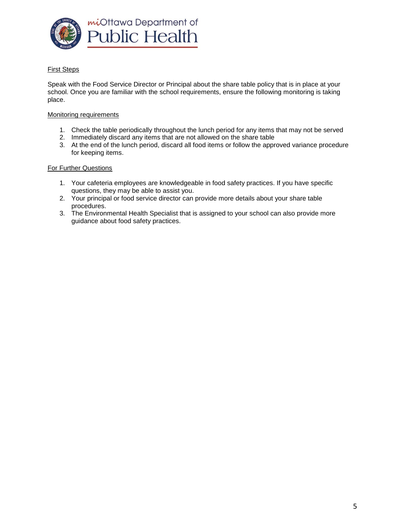

### First Steps

Speak with the Food Service Director or Principal about the share table policy that is in place at your school. Once you are familiar with the school requirements, ensure the following monitoring is taking place.

#### Monitoring requirements

- 1. Check the table periodically throughout the lunch period for any items that may not be served
- 2. Immediately discard any items that are not allowed on the share table
- 3. At the end of the lunch period, discard all food items or follow the approved variance procedure for keeping items.

#### For Further Questions

- 1. Your cafeteria employees are knowledgeable in food safety practices. If you have specific questions, they may be able to assist you.
- 2. Your principal or food service director can provide more details about your share table procedures.
- 3. The Environmental Health Specialist that is assigned to your school can also provide more guidance about food safety practices.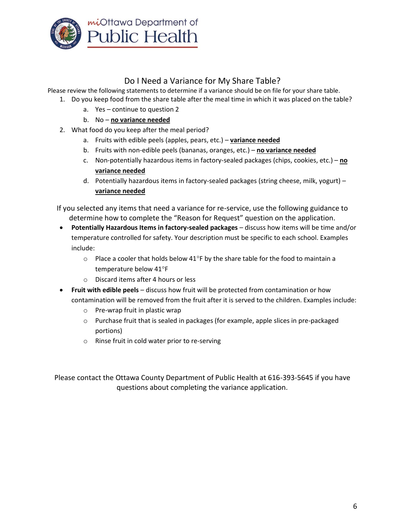

## Do I Need a Variance for My Share Table?

Please review the following statements to determine if a variance should be on file for your share table.

- 1. Do you keep food from the share table after the meal time in which it was placed on the table?
	- a. Yes continue to question 2
	- b. No **no variance needed**
- 2. What food do you keep after the meal period?
	- a. Fruits with edible peels (apples, pears, etc.) **variance needed**
	- b. Fruits with non-edible peels (bananas, oranges, etc.) **no variance needed**
	- c. Non-potentially hazardous items in factory-sealed packages (chips, cookies, etc.) **no variance needed**
	- d. Potentially hazardous items in factory-sealed packages (string cheese, milk, yogurt) **variance needed**

If you selected any items that need a variance for re-service, use the following guidance to determine how to complete the "Reason for Request" question on the application.

- **Potentially Hazardous Items in factory-sealed packages** discuss how items will be time and/or temperature controlled for safety. Your description must be specific to each school. Examples include:
	- $\circ$  Place a cooler that holds below 41°F by the share table for the food to maintain a temperature below 41°F
	- o Discard items after 4 hours or less
- **Fruit with edible peels** discuss how fruit will be protected from contamination or how contamination will be removed from the fruit after it is served to the children. Examples include:
	- o Pre-wrap fruit in plastic wrap
	- $\circ$  Purchase fruit that is sealed in packages (for example, apple slices in pre-packaged portions)
	- o Rinse fruit in cold water prior to re-serving

Please contact the Ottawa County Department of Public Health at 616-393-5645 if you have questions about completing the variance application.